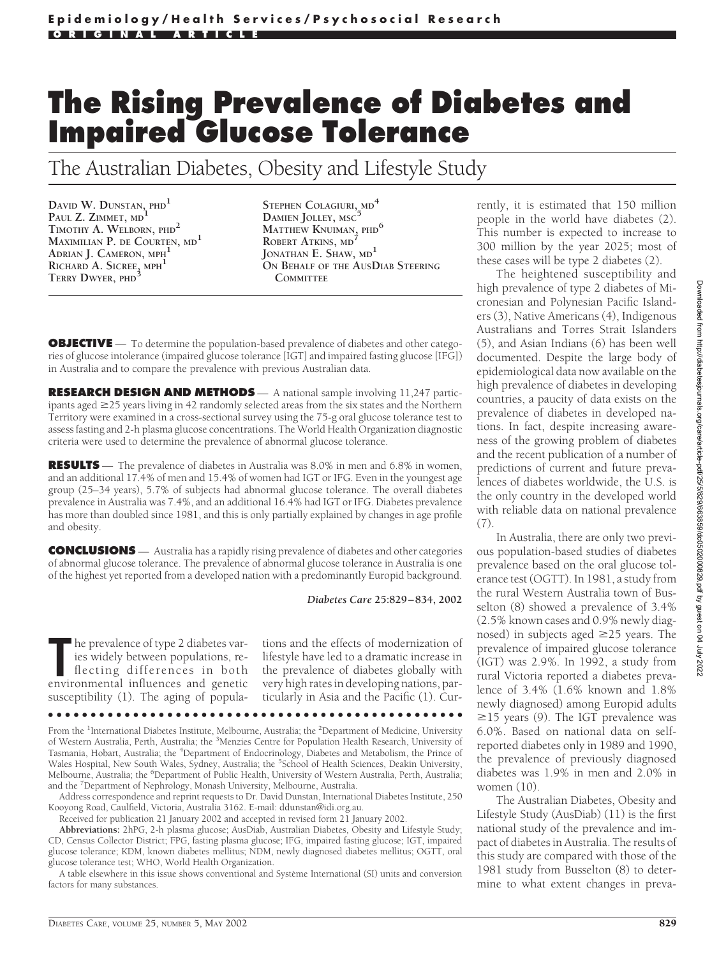# **The Rising Prevalence of Diabetes and Impaired Glucose Tolerance**

The Australian Diabetes, Obesity and Lifestyle Study

**DAVID W. DUNSTAN, PHD<sup>1</sup> PAUL Z. ZIMMET, MD<sup>1</sup> TIMOTHY A. WELBORN, PHD<sup>2</sup> MAXIMILIAN P. DE COURTEN, MD<sup>1</sup> ADRIAN J. CAMERON, MPH<sup>1</sup> RICHARD A. SICREE, MPH<sup>1</sup> TERRY DWYER, PHD<sup>3</sup>**

**STEPHEN COLAGIURI, MD<sup>4</sup> DAMIEN JOLLEY, MSC<sup>5</sup> MATTHEW KNUIMAN, PHD<sup>6</sup> ROBERT ATKINS, MD<sup>7</sup> JONATHAN E. SHAW, MD<sup>1</sup> ON BEHALF OF THE AUSDIAB STEERING COMMITTEE**

**OBJECTIVE** — To determine the population-based prevalence of diabetes and other categories of glucose intolerance (impaired glucose tolerance [IGT] and impaired fasting glucose [IFG]) in Australia and to compare the prevalence with previous Australian data.

**RESEARCH DESIGN AND METHODS** — A national sample involving 11,247 participants aged  $\geq$ 25 years living in 42 randomly selected areas from the six states and the Northern Territory were examined in a cross-sectional survey using the 75-g oral glucose tolerance test to assess fasting and 2-h plasma glucose concentrations. The World Health Organization diagnostic criteria were used to determine the prevalence of abnormal glucose tolerance.

**RESULTS** — The prevalence of diabetes in Australia was 8.0% in men and 6.8% in women, and an additional 17.4% of men and 15.4% of women had IGT or IFG. Even in the youngest age group (25–34 years), 5.7% of subjects had abnormal glucose tolerance. The overall diabetes prevalence in Australia was 7.4%, and an additional 16.4% had IGT or IFG. Diabetes prevalence has more than doubled since 1981, and this is only partially explained by changes in age profile and obesity.

**CONCLUSIONS** — Australia has a rapidly rising prevalence of diabetes and other categories of abnormal glucose tolerance. The prevalence of abnormal glucose tolerance in Australia is one of the highest yet reported from a developed nation with a predominantly Europid background.

*Diabetes Care* **25:829–834, 2002**

The prevalence of type 2 diabetes varies widely between populations, reflecting differences in both environmental influences and genetic he prevalence of type 2 diabetes varies widely between populations, reflecting differences in both susceptibility (1). The aging of populations and the effects of modernization of lifestyle have led to a dramatic increase in the prevalence of diabetes globally with very high rates in developing nations, particularly in Asia and the Pacific (1). Cur-

●●●●●●●●●●●●●●●●●●●●●●●●●●●●●●●●●●●●●●●●●●●●●●●●●

From the <sup>1</sup>International Diabetes Institute, Melbourne, Australia; the <sup>2</sup>Department of Medicine, University of Western Australia, Perth, Australia; the <sup>3</sup>Menzies Centre for Population Health Research, University of Tasmania, Hobart, Australia; the <sup>4</sup>Department of Endocrinology, Diabetes and Metabolism, the Prince of Wales Hospital, New South Wales, Sydney, Australia; the <sup>5</sup>School of Health Sciences, Deakin University, Melbourne, Australia; the <sup>6</sup>Department of Public Health, University of Western Australia, Perth, Australia; and the <sup>7</sup> Department of Nephrology, Monash University, Melbourne, Australia.

Address correspondence and reprint requests to Dr. David Dunstan, International Diabetes Institute, 250 Kooyong Road, Caulfield, Victoria, Australia 3162. E-mail: ddunstan@idi.org.au.

Received for publication 21 January 2002 and accepted in revised form 21 January 2002.

**Abbreviations:** 2hPG, 2-h plasma glucose; AusDiab, Australian Diabetes, Obesity and Lifestyle Study; CD, Census Collector District; FPG, fasting plasma glucose; IFG, impaired fasting glucose; IGT, impaired glucose tolerance; KDM, known diabetes mellitus; NDM, newly diagnosed diabetes mellitus; OGTT, oral glucose tolerance test; WHO, World Health Organization.

A table elsewhere in this issue shows conventional and Système International (SI) units and conversion factors for many substances

rently, it is estimated that 150 million people in the world have diabetes (2). This number is expected to increase to 300 million by the year 2025; most of these cases will be type 2 diabetes (2).

The heightened susceptibility and high prevalence of type 2 diabetes of Micronesian and Polynesian Pacific Islanders (3), Native Americans (4), Indigenous Australians and Torres Strait Islanders (5), and Asian Indians (6) has been well documented. Despite the large body of epidemiological data now available on the high prevalence of diabetes in developing countries, a paucity of data exists on the prevalence of diabetes in developed nations. In fact, despite increasing awareness of the growing problem of diabetes and the recent publication of a number of predictions of current and future prevalences of diabetes worldwide, the U.S. is the only country in the developed world with reliable data on national prevalence (7).

In Australia, there are only two previous population-based studies of diabetes prevalence based on the oral glucose tolerance test (OGTT). In 1981, a study from the rural Western Australia town of Busselton (8) showed a prevalence of 3.4% (2.5% known cases and 0.9% newly diagnosed) in subjects aged  $\geq$ 25 years. The prevalence of impaired glucose tolerance (IGT) was 2.9%. In 1992, a study from rural Victoria reported a diabetes prevalence of 3.4% (1.6% known and 1.8% newly diagnosed) among Europid adults  $\geq$ 15 years (9). The IGT prevalence was 6.0%. Based on national data on selfreported diabetes only in 1989 and 1990, the prevalence of previously diagnosed diabetes was 1.9% in men and 2.0% in women (10).

The Australian Diabetes, Obesity and Lifestyle Study (AusDiab) (11) is the first national study of the prevalence and impact of diabetes in Australia. The results of this study are compared with those of the 1981 study from Busselton (8) to determine to what extent changes in preva-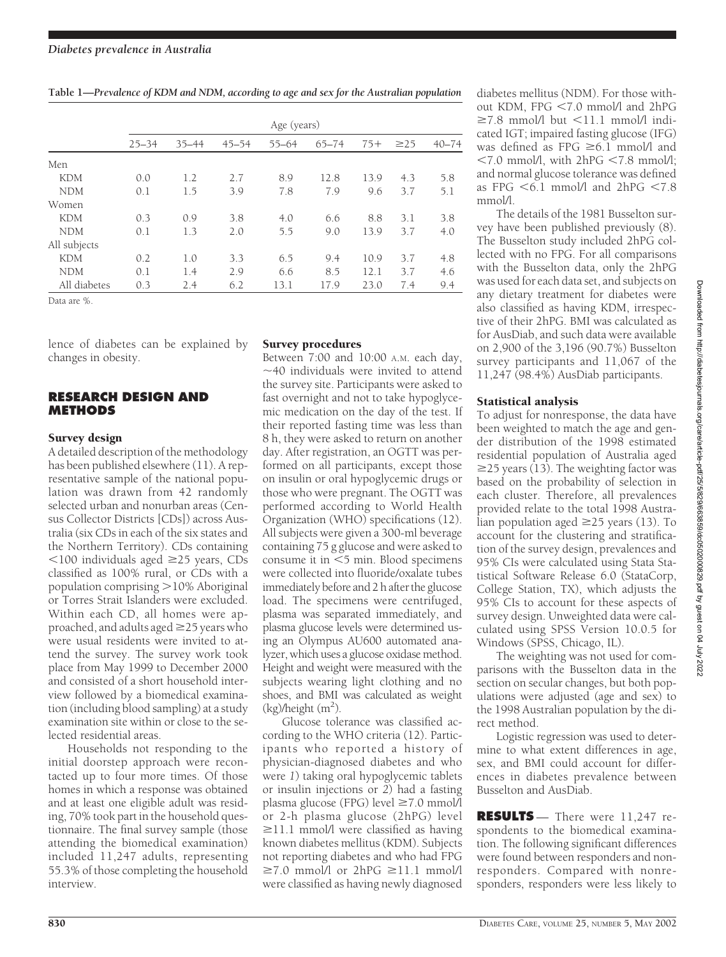| Table 1-Prevalence of KDM and NDM, according to age and sex for the Australian population |  |  |  |
|-------------------------------------------------------------------------------------------|--|--|--|
|                                                                                           |  |  |  |

|              | Age (years) |           |           |           |           |       |           |           |
|--------------|-------------|-----------|-----------|-----------|-----------|-------|-----------|-----------|
|              | $25 - 34$   | $35 - 44$ | $45 - 54$ | $55 - 64$ | $65 - 74$ | $75+$ | $\geq$ 25 | $40 - 74$ |
| Men          |             |           |           |           |           |       |           |           |
| <b>KDM</b>   | 0.0         | 1.2       | 2.7       | 8.9       | 12.8      | 13.9  | 4.3       | 5.8       |
| <b>NDM</b>   | 0.1         | 1.5       | 3.9       | 7.8       | 7.9       | 9.6   | 3.7       | 5.1       |
| Women        |             |           |           |           |           |       |           |           |
| <b>KDM</b>   | 0.3         | 0.9       | 3.8       | 4.0       | 6.6       | 8.8   | 3.1       | 3.8       |
| <b>NDM</b>   | 0.1         | 1.3       | 2.0       | 5.5       | 9.0       | 13.9  | 3.7       | 4.0       |
| All subjects |             |           |           |           |           |       |           |           |
| <b>KDM</b>   | 0.2         | 1.0       | 3.3       | 6.5       | 9.4       | 10.9  | 3.7       | 4.8       |
| <b>NDM</b>   | 0.1         | 1.4       | 2.9       | 6.6       | 8.5       | 12.1  | 3.7       | 4.6       |
| All diabetes | 0.3         | 2.4       | 6.2       | 13.1      | 17.9      | 23.0  | 7.4       | 9.4       |

Data are %.

lence of diabetes can be explained by changes in obesity.

# **RESEARCH DESIGN AND METHODS**

#### Survey design

A detailed description of the methodology has been published elsewhere (11). A representative sample of the national population was drawn from 42 randomly selected urban and nonurban areas (Census Collector Districts [CDs]) across Australia (six CDs in each of the six states and the Northern Territory). CDs containing  $100$  individuals aged  $\geq$ 25 years, CDs classified as 100% rural, or CDs with a population comprising >10% Aboriginal or Torres Strait Islanders were excluded. Within each CD, all homes were approached, and adults aged  $\geq$  25 years who were usual residents were invited to attend the survey. The survey work took place from May 1999 to December 2000 and consisted of a short household interview followed by a biomedical examination (including blood sampling) at a study examination site within or close to the selected residential areas.

Households not responding to the initial doorstep approach were recontacted up to four more times. Of those homes in which a response was obtained and at least one eligible adult was residing, 70% took part in the household questionnaire. The final survey sample (those attending the biomedical examination) included 11,247 adults, representing 55.3% of those completing the household interview.

#### Survey procedures

Between 7:00 and 10:00 A.M. each day,  $\sim$ 40 individuals were invited to attend the survey site. Participants were asked to fast overnight and not to take hypoglycemic medication on the day of the test. If their reported fasting time was less than 8 h, they were asked to return on another day. After registration, an OGTT was performed on all participants, except those on insulin or oral hypoglycemic drugs or those who were pregnant. The OGTT was performed according to World Health Organization (WHO) specifications (12). All subjects were given a 300-ml beverage containing 75 g glucose and were asked to consume it in  $<$  5 min. Blood specimens were collected into fluoride/oxalate tubes immediately before and 2 h after the glucose load. The specimens were centrifuged, plasma was separated immediately, and plasma glucose levels were determined using an Olympus AU600 automated analyzer, which uses a glucose oxidase method. Height and weight were measured with the subjects wearing light clothing and no shoes, and BMI was calculated as weight  $(kg)$ /height  $(m<sup>2</sup>)$ .

Glucose tolerance was classified according to the WHO criteria (12). Participants who reported a history of physician-diagnosed diabetes and who were *1*) taking oral hypoglycemic tablets or insulin injections or *2*) had a fasting plasma glucose (FPG) level  $\geq 7.0$  mmol/l or 2-h plasma glucose (2hPG) level  $\geq$ 11.1 mmol/l were classified as having known diabetes mellitus (KDM). Subjects not reporting diabetes and who had FPG  $\geq 7.0$  mmol/l or 2hPG  $\geq 11.1$  mmol/l were classified as having newly diagnosed

diabetes mellitus (NDM). For those without KDM, FPG <7.0 mmol/l and 2hPG  $\geq$ 7.8 mmol/l but  $\leq$ 11.1 mmol/l indicated IGT; impaired fasting glucose (IFG) was defined as  $FPG \geq 6.1$  mmol/l and  $\leq 7.0$  mmol/l, with  $2hPG \leq 7.8$  mmol/l; and normal glucose tolerance was defined as FPG  $<$  6.1 mmol/l and 2hPG  $<$  7.8 mmol/l.

The details of the 1981 Busselton survey have been published previously (8). The Busselton study included 2hPG collected with no FPG. For all comparisons with the Busselton data, only the 2hPG was used for each data set, and subjects on any dietary treatment for diabetes were also classified as having KDM, irrespective of their 2hPG. BMI was calculated as for AusDiab, and such data were available on 2,900 of the 3,196 (90.7%) Busselton survey participants and 11,067 of the 11,247 (98.4%) AusDiab participants.

# Statistical analysis

To adjust for nonresponse, the data have been weighted to match the age and gender distribution of the 1998 estimated residential population of Australia aged  $\geq$ 25 years (13). The weighting factor was based on the probability of selection in each cluster. Therefore, all prevalences provided relate to the total 1998 Australian population aged  $\geq$ 25 years (13). To account for the clustering and stratification of the survey design, prevalences and 95% CIs were calculated using Stata Statistical Software Release 6.0 (StataCorp, College Station, TX), which adjusts the 95% CIs to account for these aspects of survey design. Unweighted data were calculated using SPSS Version 10.0.5 for Windows (SPSS, Chicago, IL).

The weighting was not used for comparisons with the Busselton data in the section on secular changes, but both populations were adjusted (age and sex) to the 1998 Australian population by the direct method.

Logistic regression was used to determine to what extent differences in age, sex, and BMI could account for differences in diabetes prevalence between Busselton and AusDiab.

**RESULTS** — There were 11,247 respondents to the biomedical examination. The following significant differences were found between responders and nonresponders. Compared with nonresponders, responders were less likely to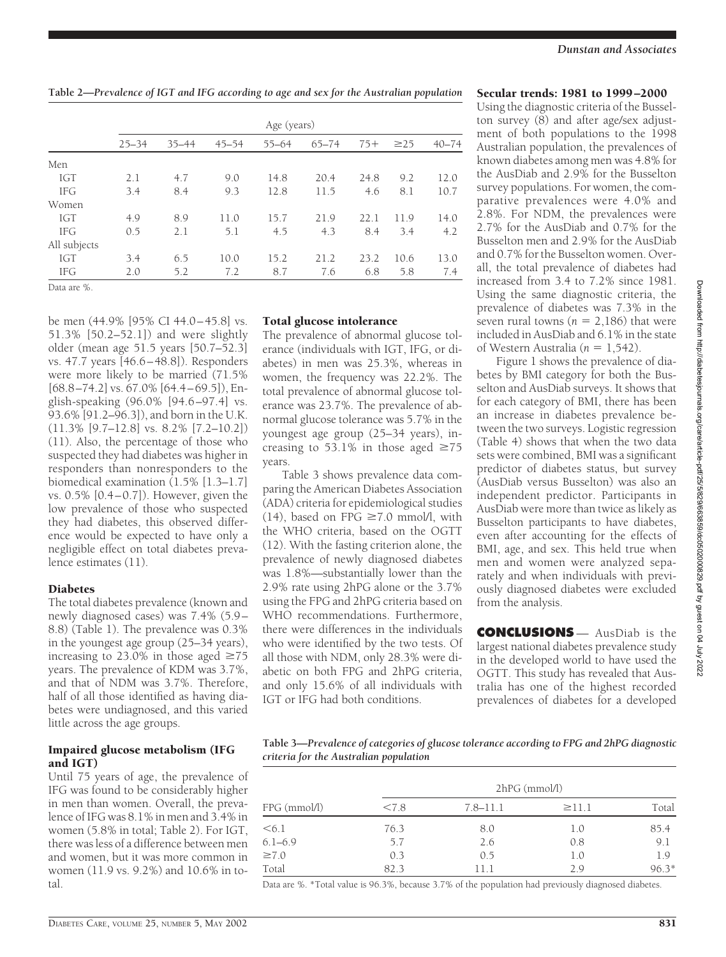**Table 2—***Prevalence of IGT and IFG according to age and sex for the Australian population*

|              | Age (years) |           |           |           |           |       |           |           |
|--------------|-------------|-----------|-----------|-----------|-----------|-------|-----------|-----------|
|              | $25 - 34$   | $35 - 44$ | $45 - 54$ | $55 - 64$ | $65 - 74$ | $75+$ | $\geq$ 25 | $40 - 74$ |
| Men          |             |           |           |           |           |       |           |           |
| <b>IGT</b>   | 2.1         | 4.7       | 9.0       | 14.8      | 20.4      | 24.8  | 9.2       | 12.0      |
| <b>IFG</b>   | 3.4         | 8.4       | 9.3       | 12.8      | 11.5      | 4.6   | 8.1       | 10.7      |
| Women        |             |           |           |           |           |       |           |           |
| <b>IGT</b>   | 4.9         | 8.9       | 11.0      | 15.7      | 21.9      | 22.1  | 11.9      | 14.0      |
| <b>IFG</b>   | 0.5         | 2.1       | 5.1       | 4.5       | 4.3       | 8.4   | 3.4       | 4.2       |
| All subjects |             |           |           |           |           |       |           |           |
| <b>IGT</b>   | 3.4         | 6.5       | 10.0      | 15.2      | 21.2      | 23.2  | 10.6      | 13.0      |
| <b>IFG</b>   | 2.0         | 5.2       | 7.2       | 8.7       | 7.6       | 6.8   | 5.8       | 7.4       |

Data are %.

be men (44.9% [95% CI 44.0–45.8] vs. 51.3% [50.2–52.1]) and were slightly older (mean age 51.5 years [50.7–52.3] vs. 47.7 years [46.6–48.8]). Responders were more likely to be married (71.5% [68.8–74.2] vs. 67.0% [64.4–69.5]), English-speaking (96.0% [94.6 –97.4] vs. 93.6% [91.2–96.3]), and born in the U.K. (11.3% [9.7–12.8] vs. 8.2% [7.2–10.2]) (11). Also, the percentage of those who suspected they had diabetes was higher in responders than nonresponders to the biomedical examination (1.5% [1.3–1.7] vs. 0.5% [0.4–0.7]). However, given the low prevalence of those who suspected they had diabetes, this observed difference would be expected to have only a negligible effect on total diabetes prevalence estimates (11).

#### **Diabetes**

The total diabetes prevalence (known and newly diagnosed cases) was 7.4% (5.9– 8.8) (Table 1). The prevalence was 0.3% in the youngest age group (25–34 years), increasing to 23.0% in those aged  $\geq 75$ years. The prevalence of KDM was 3.7%, and that of NDM was 3.7%. Therefore, half of all those identified as having diabetes were undiagnosed, and this varied little across the age groups.

### Impaired glucose metabolism (IFG and IGT)

Until 75 years of age, the prevalence of IFG was found to be considerably higher in men than women. Overall, the prevalence of IFG was 8.1% in men and 3.4% in women (5.8% in total; Table 2). For IGT, there was less of a difference between men and women, but it was more common in women (11.9 vs. 9.2%) and 10.6% in total.

# Total glucose intolerance

The prevalence of abnormal glucose tolerance (individuals with IGT, IFG, or diabetes) in men was 25.3%, whereas in women, the frequency was 22.2%. The total prevalence of abnormal glucose tolerance was 23.7%. The prevalence of abnormal glucose tolerance was 5.7% in the youngest age group (25–34 years), increasing to 53.1% in those aged  $\geq 75$ years.

Table 3 shows prevalence data comparing the American Diabetes Association (ADA) criteria for epidemiological studies (14), based on FPG  $\geq$ 7.0 mmol/l, with the WHO criteria, based on the OGTT (12). With the fasting criterion alone, the prevalence of newly diagnosed diabetes was 1.8%—substantially lower than the 2.9% rate using 2hPG alone or the 3.7% using the FPG and 2hPG criteria based on WHO recommendations. Furthermore, there were differences in the individuals who were identified by the two tests. Of all those with NDM, only 28.3% were diabetic on both FPG and 2hPG criteria, and only 15.6% of all individuals with IGT or IFG had both conditions.

#### Secular trends: 1981 to 1999–2000

Using the diagnostic criteria of the Busselton survey (8) and after age/sex adjustment of both populations to the 1998 Australian population, the prevalences of known diabetes among men was 4.8% for the AusDiab and 2.9% for the Busselton survey populations. For women, the comparative prevalences were 4.0% and 2.8%. For NDM, the prevalences were 2.7% for the AusDiab and 0.7% for the Busselton men and 2.9% for the AusDiab and 0.7% for the Busselton women. Overall, the total prevalence of diabetes had increased from 3.4 to 7.2% since 1981. Using the same diagnostic criteria, the prevalence of diabetes was 7.3% in the seven rural towns ( $n = 2,186$ ) that were included in AusDiab and 6.1% in the state of Western Australia ( $n = 1.542$ ).

Figure 1 shows the prevalence of diabetes by BMI category for both the Busselton and AusDiab surveys. It shows that for each category of BMI, there has been an increase in diabetes prevalence between the two surveys. Logistic regression (Table 4) shows that when the two data sets were combined, BMI was a significant predictor of diabetes status, but survey (AusDiab versus Busselton) was also an independent predictor. Participants in AusDiab were more than twice as likely as Busselton participants to have diabetes, even after accounting for the effects of BMI, age, and sex. This held true when men and women were analyzed separately and when individuals with previously diagnosed diabetes were excluded from the analysis.

**CONCLUSIONS** — AusDiab is the largest national diabetes prevalence study in the developed world to have used the OGTT. This study has revealed that Australia has one of the highest recorded prevalences of diabetes for a developed

**Table 3—***Prevalence of categories of glucose tolerance according to FPG and 2hPG diagnostic criteria for the Australian population*

| $FPG$ (mmol/l) | $2hPG$ (mmol/l) |              |             |         |  |  |  |
|----------------|-----------------|--------------|-------------|---------|--|--|--|
|                | < 7.8           | $7.8 - 11.1$ | $\geq$ 11.1 | Total   |  |  |  |
| < 6.1          | 76.3            | 8.0          | 1.0         | 85.4    |  |  |  |
| $6.1 - 6.9$    | 5.7             | 2.6          | 0.8         | 9.1     |  |  |  |
| $\geq 7.0$     | 0.3             | 0.5          | 1.0         | 1.9     |  |  |  |
| Total          | 82.3            | 11.1         | 2.9         | $96.3*$ |  |  |  |

Data are %. \*Total value is 96.3%, because 3.7% of the population had previously diagnosed diabetes.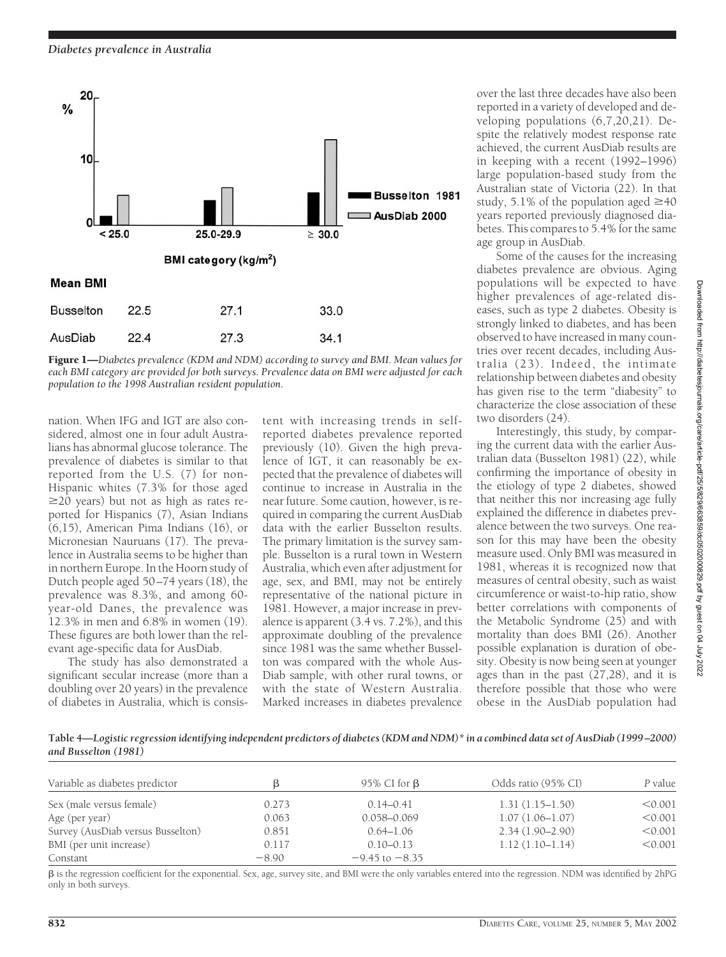

Figure 1—*Diabetes prevalence (KDM and NDM) according to survey and BMI. Mean values for each BMI category are provided for both surveys. Prevalence data on BMI were adjusted for each population to the 1998 Australian resident population.*

nation. When IFG and IGT are also considered, almost one in four adult Australians has abnormal glucose tolerance. The prevalence of diabetes is similar to that reported from the U.S. (7) for non-Hispanic whites (7.3% for those aged  $\geq$ 20 years) but not as high as rates reported for Hispanics (7), Asian Indians (6,15), American Pima Indians (16), or Micronesian Nauruans (17). The prevalence in Australia seems to be higher than in northern Europe. In the Hoorn study of Dutch people aged 50–74 years (18), the prevalence was 8.3%, and among 60 year-old Danes, the prevalence was 12.3% in men and 6.8% in women (19). These figures are both lower than the relevant age-specific data for AusDiab.

The study has also demonstrated a significant secular increase (more than a doubling over 20 years) in the prevalence of diabetes in Australia, which is consistent with increasing trends in selfreported diabetes prevalence reported previously (10). Given the high prevalence of IGT, it can reasonably be expected that the prevalence of diabetes will continue to increase in Australia in the near future. Some caution, however, is required in comparing the current AusDiab data with the earlier Busselton results. The primary limitation is the survey sample. Busselton is a rural town in Western Australia, which even after adjustment for age, sex, and BMI, may not be entirely representative of the national picture in 1981. However, a major increase in prevalence is apparent (3.4 vs. 7.2%), and this approximate doubling of the prevalence since 1981 was the same whether Busselton was compared with the whole Aus-Diab sample, with other rural towns, or with the state of Western Australia. Marked increases in diabetes prevalence

over the last three decades have also been reported in a variety of developed and developing populations (6,7,20,21). Despite the relatively modest response rate achieved, the current AusDiab results are in keeping with a recent (1992–1996) large population-based study from the Australian state of Victoria (22). In that study, 5.1% of the population aged  $\geq 40$ years reported previously diagnosed diabetes. This compares to 5.4% for the same age group in AusDiab.

Some of the causes for the increasing diabetes prevalence are obvious. Aging populations will be expected to have higher prevalences of age-related diseases, such as type 2 diabetes. Obesity is strongly linked to diabetes, and has been observed to have increased in many countries over recent decades, including Australia (23). Indeed, the intimate relationship between diabetes and obesity has given rise to the term "diabesity" to characterize the close association of these two disorders (24).

Interestingly, this study, by comparing the current data with the earlier Australian data (Busselton 1981) (22), while confirming the importance of obesity in the etiology of type 2 diabetes, showed that neither this nor increasing age fully explained the difference in diabetes prevalence between the two surveys. One reason for this may have been the obesity measure used. Only BMI was measured in 1981, whereas it is recognized now that measures of central obesity, such as waist circumference or waist-to-hip ratio, show better correlations with components of the Metabolic Syndrome (25) and with mortality than does BMI (26). Another possible explanation is duration of obesity. Obesity is now being seen at younger ages than in the past (27,28), and it is therefore possible that those who were obese in the AusDiab population had

**Table 4—***Logistic regression identifying independent predictors of diabetes (KDM and NDM)\* in a combined data set of AusDiab (1999–2000) and Busselton (1981)*

| Variable as diabetes predictor    |         | 95% CI for $\beta$ | Odds ratio (95% CI) | P value |  |
|-----------------------------------|---------|--------------------|---------------------|---------|--|
| Sex (male versus female)          | 0.273   | $0.14 - 0.41$      | $1.31(1.15-1.50)$   | < 0.001 |  |
| Age (per year)                    | 0.063   | $0.058 - 0.069$    | $1.07(1.06 - 1.07)$ | < 0.001 |  |
| Survey (AusDiab versus Busselton) | 0.851   | $0.64 - 1.06$      | $2.34(1.90 - 2.90)$ | < 0.001 |  |
| BMI (per unit increase)           | 0.117   | $0.10 - 0.13$      | $1.12(1.10-1.14)$   | < 0.001 |  |
| Constant                          | $-8.90$ | $-9.45$ to $-8.35$ |                     |         |  |

 is the regression coefficient for the exponential. Sex, age, survey site, and BMI were the only variables entered into the regression. NDM was identified by 2hPG only in both surveys.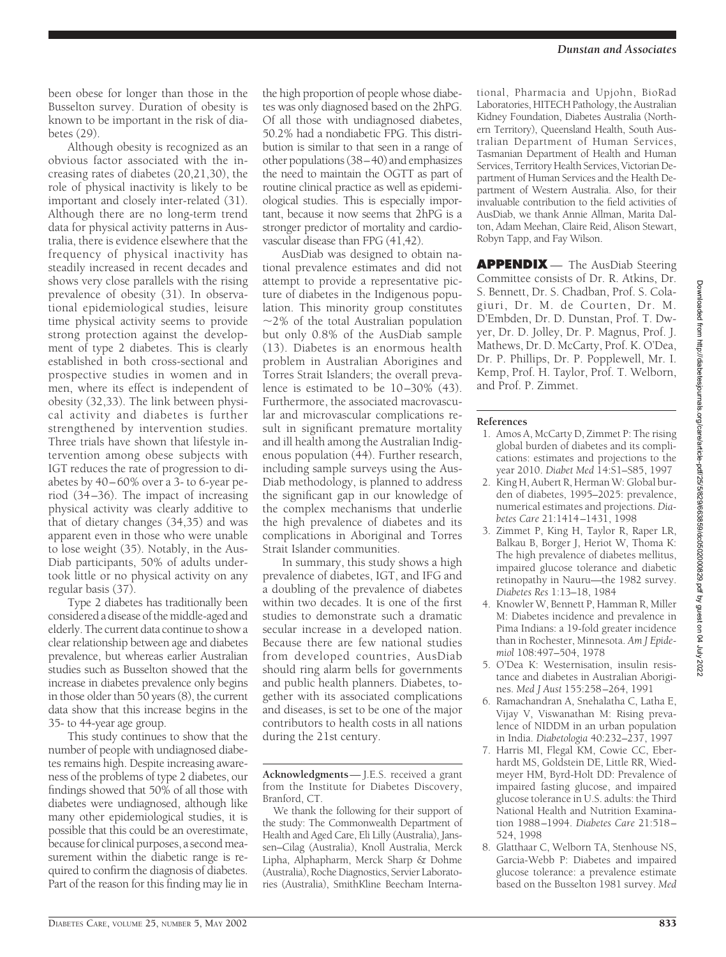been obese for longer than those in the Busselton survey. Duration of obesity is known to be important in the risk of diabetes (29).

Although obesity is recognized as an obvious factor associated with the increasing rates of diabetes (20,21,30), the role of physical inactivity is likely to be important and closely inter-related (31). Although there are no long-term trend data for physical activity patterns in Australia, there is evidence elsewhere that the frequency of physical inactivity has steadily increased in recent decades and shows very close parallels with the rising prevalence of obesity (31). In observational epidemiological studies, leisure time physical activity seems to provide strong protection against the development of type 2 diabetes. This is clearly established in both cross-sectional and prospective studies in women and in men, where its effect is independent of obesity (32,33). The link between physical activity and diabetes is further strengthened by intervention studies. Three trials have shown that lifestyle intervention among obese subjects with IGT reduces the rate of progression to diabetes by 40–60% over a 3- to 6-year period (34–36). The impact of increasing physical activity was clearly additive to that of dietary changes (34,35) and was apparent even in those who were unable to lose weight (35). Notably, in the Aus-Diab participants, 50% of adults undertook little or no physical activity on any regular basis (37).

Type 2 diabetes has traditionally been considered a disease of the middle-aged and elderly. The current data continue to show a clear relationship between age and diabetes prevalence, but whereas earlier Australian studies such as Busselton showed that the increase in diabetes prevalence only begins in those older than 50 years (8), the current data show that this increase begins in the 35- to 44-year age group.

This study continues to show that the number of people with undiagnosed diabetes remains high. Despite increasing awareness of the problems of type 2 diabetes, our findings showed that 50% of all those with diabetes were undiagnosed, although like many other epidemiological studies, it is possible that this could be an overestimate, because for clinical purposes, a second measurement within the diabetic range is required to confirm the diagnosis of diabetes. Part of the reason for this finding may lie in

the high proportion of people whose diabetes was only diagnosed based on the 2hPG. Of all those with undiagnosed diabetes, 50.2% had a nondiabetic FPG. This distribution is similar to that seen in a range of other populations (38–40) and emphasizes the need to maintain the OGTT as part of routine clinical practice as well as epidemiological studies. This is especially important, because it now seems that 2hPG is a stronger predictor of mortality and cardiovascular disease than FPG (41,42).

AusDiab was designed to obtain national prevalence estimates and did not attempt to provide a representative picture of diabetes in the Indigenous population. This minority group constitutes  $\sim$ 2% of the total Australian population but only 0.8% of the AusDiab sample (13). Diabetes is an enormous health problem in Australian Aborigines and Torres Strait Islanders; the overall prevalence is estimated to be  $10-30\%$  (43). Furthermore, the associated macrovascular and microvascular complications result in significant premature mortality and ill health among the Australian Indigenous population (44). Further research, including sample surveys using the Aus-Diab methodology, is planned to address the significant gap in our knowledge of the complex mechanisms that underlie the high prevalence of diabetes and its complications in Aboriginal and Torres Strait Islander communities.

In summary, this study shows a high prevalence of diabetes, IGT, and IFG and a doubling of the prevalence of diabetes within two decades. It is one of the first studies to demonstrate such a dramatic secular increase in a developed nation. Because there are few national studies from developed countries, AusDiab should ring alarm bells for governments and public health planners. Diabetes, together with its associated complications and diseases, is set to be one of the major contributors to health costs in all nations during the 21st century.

We thank the following for their support of the study: The Commonwealth Department of Health and Aged Care, Eli Lilly (Australia), Janssen–Cilag (Australia), Knoll Australia, Merck Lipha, Alphapharm, Merck Sharp & Dohme (Australia), Roche Diagnostics, Servier Laboratories (Australia), SmithKline Beecham International, Pharmacia and Upjohn, BioRad Laboratories, HITECH Pathology, the Australian Kidney Foundation, Diabetes Australia (Northern Territory), Queensland Health, South Australian Department of Human Services, Tasmanian Department of Health and Human Services, Territory Health Services, Victorian Department of Human Services and the Health Department of Western Australia. Also, for their invaluable contribution to the field activities of AusDiab, we thank Annie Allman, Marita Dalton, Adam Meehan, Claire Reid, Alison Stewart, Robyn Tapp, and Fay Wilson.

**APPENDIX** — The AusDiab Steering Committee consists of Dr. R. Atkins, Dr. S. Bennett, Dr. S. Chadban, Prof. S. Colagiuri, Dr. M. de Courten, Dr. M. D'Embden, Dr. D. Dunstan, Prof. T. Dwyer, Dr. D. Jolley, Dr. P. Magnus, Prof. J. Mathews, Dr. D. McCarty, Prof. K. O'Dea, Dr. P. Phillips, Dr. P. Popplewell, Mr. I. Kemp, Prof. H. Taylor, Prof. T. Welborn, and Prof. P. Zimmet.

#### **References**

- 1. Amos A, McCarty D, Zimmet P: The rising global burden of diabetes and its complications: estimates and projections to the year 2010. *Diabet Med* 14:S1–S85, 1997
- 2. King H, Aubert R, Herman W: Global burden of diabetes, 1995–2025: prevalence, numerical estimates and projections. *Diabetes Care* 21:1414–1431, 1998
- 3. Zimmet P, King H, Taylor R, Raper LR, Balkau B, Borger J, Heriot W, Thoma K: The high prevalence of diabetes mellitus, impaired glucose tolerance and diabetic retinopathy in Nauru—the 1982 survey. *Diabetes Res* 1:13–18, 1984
- 4. Knowler W, Bennett P, Hamman R, Miller M: Diabetes incidence and prevalence in Pima Indians: a 19-fold greater incidence than in Rochester, Minnesota. *Am J Epidemiol* 108:497–504, 1978
- 5. O'Dea K: Westernisation, insulin resistance and diabetes in Australian Aborigines. *Med J Aust* 155:258–264, 1991
- 6. Ramachandran A, Snehalatha C, Latha E, Vijay V, Viswanathan M: Rising prevalence of NIDDM in an urban population in India. *Diabetologia* 40:232–237, 1997
- 7. Harris MI, Flegal KM, Cowie CC, Eberhardt MS, Goldstein DE, Little RR, Wiedmeyer HM, Byrd-Holt DD: Prevalence of impaired fasting glucose, and impaired glucose tolerance in U.S. adults: the Third National Health and Nutrition Examination 1988–1994. *Diabetes Care* 21:518– 524, 1998
- 8. Glatthaar C, Welborn TA, Stenhouse NS, Garcia-Webb P: Diabetes and impaired glucose tolerance: a prevalence estimate based on the Busselton 1981 survey. *Med*

**Acknowledgments**— J.E.S. received a grant from the Institute for Diabetes Discovery, Branford, CT.